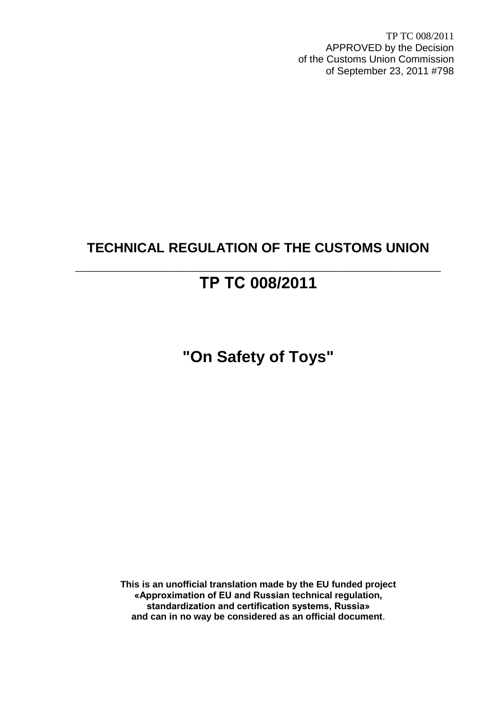TP TC 008/2011 APPROVED by the Decision of the Customs Union Commission of September 23, 2011 #798

## **TECHNICAL REGULATION OF THE CUSTOMS UNION**

# **ТР ТС 008/2011**

**\_\_\_\_\_\_\_\_\_\_\_\_\_\_\_\_\_\_\_\_\_\_\_\_\_\_\_\_\_\_\_\_\_\_\_\_\_\_\_\_\_**

**"On Safety of Toys"**

**This is an unofficial translation made by the EU funded project «Approximation of EU and Russian technical regulation, standardization and certification systems, Russia» and can in no way be considered as an official document**.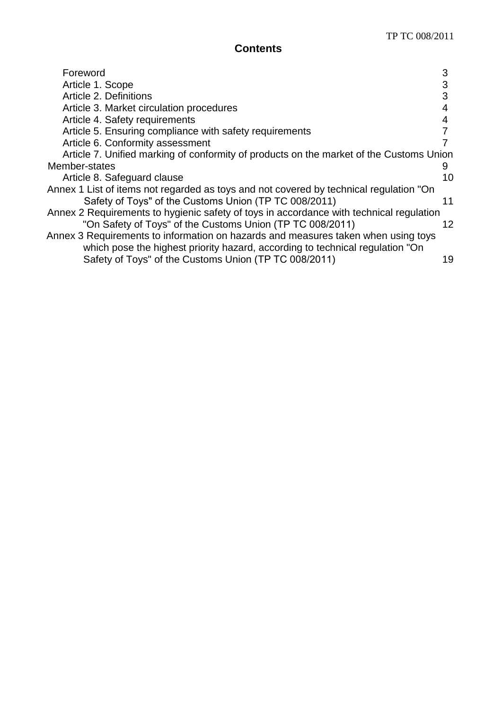## **Contents**

| Foreword                                                                                | 3  |
|-----------------------------------------------------------------------------------------|----|
|                                                                                         | 3  |
| Article 1. Scope                                                                        |    |
| Article 2. Definitions                                                                  | 3  |
| Article 3. Market circulation procedures                                                |    |
| Article 4. Safety requirements                                                          | 4  |
| Article 5. Ensuring compliance with safety requirements                                 |    |
| Article 6. Conformity assessment                                                        |    |
| Article 7. Unified marking of conformity of products on the market of the Customs Union |    |
| Member-states                                                                           | 9  |
| Article 8. Safeguard clause                                                             | 10 |
| Annex 1 List of items not regarded as toys and not covered by technical regulation "On  |    |
| Safety of Toys" of the Customs Union (TP TC 008/2011)                                   | 11 |
| Annex 2 Requirements to hygienic safety of toys in accordance with technical regulation |    |
| "On Safety of Toys" of the Customs Union (TP TC 008/2011)                               | 12 |
| Annex 3 Requirements to information on hazards and measures taken when using toys       |    |
| which pose the highest priority hazard, according to technical regulation "On           |    |
| Safety of Toys" of the Customs Union (TP TC 008/2011)                                   | 19 |
|                                                                                         |    |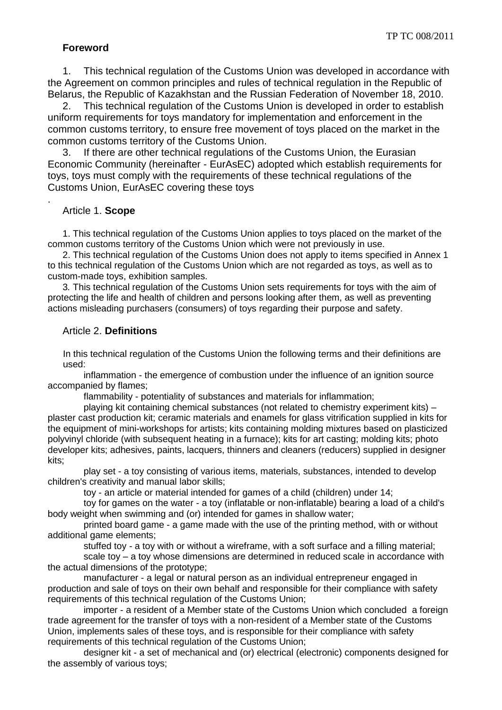## **Foreword**

1. This technical regulation of the Customs Union was developed in accordance with the Agreement on common principles and rules of technical regulation in the Republic of Belarus, the Republic of Kazakhstan and the Russian Federation of November 18, 2010.

2. This technical regulation of the Customs Union is developed in order to establish uniform requirements for toys mandatory for implementation and enforcement in the common customs territory, to ensure free movement of toys placed on the market in the common customs territory of the Customs Union.

3. If there are other technical regulations of the Customs Union, the Eurasian Economic Community (hereinafter - EurAsEC) adopted which establish requirements for toys, toys must comply with the requirements of these technical regulations of the Customs Union, EurAsEC covering these toys

#### Article 1. **Scope**

.

1. This technical regulation of the Customs Union applies to toys placed on the market of the common customs territory of the Customs Union which were not previously in use.

2. This technical regulation of the Customs Union does not apply to items specified in Annex 1 to this technical regulation of the Customs Union which are not regarded as toys, as well as to custom-made toys, exhibition samples.

3*.* This technical regulation of the Customs Union sets requirements for toys with the aim of protecting the life and health of children and persons looking after them, as well as preventing actions misleading purchasers (consumers) of toys regarding their purpose and safety.

#### Article 2. **Definitions**

In this technical regulation of the Customs Union the following terms and their definitions are used:

inflammation - the emergence of combustion under the influence of an ignition source accompanied by flames;

flammability - potentiality of substances and materials for inflammation;

playing kit containing chemical substances (not related to chemistry experiment kits) – plaster cast production kit; ceramic materials and enamels for glass vitrification supplied in kits for the equipment of mini-workshops for artists; kits containing molding mixtures based on plasticized polyvinyl chloride (with subsequent heating in a furnace); kits for art casting; molding kits; photo developer kits; adhesives, paints, lacquers, thinners and cleaners (reducers) supplied in designer kits;

play set - a toy consisting of various items, materials, substances, intended to develop children's creativity and manual labor skills;

toy - an article or material intended for games of a child (children) under 14;

toy for games on the water - a toy (inflatable or non-inflatable) bearing a load of a child's body weight when swimming and (or) intended for games in shallow water;

printed board game - a game made with the use of the printing method, with or without additional game elements;

stuffed toy *-* a toy with or without a wireframe, with a soft surface and a filling material; scale toy – a toy whose dimensions are determined in reduced scale in accordance with the actual dimensions of the prototype;

manufacturer - a legal or natural person as an individual entrepreneur engaged in production and sale of toys on their own behalf and responsible for their compliance with safety requirements of this technical regulation of the Customs Union;

importer - a resident of a Member state of the Customs Union which concluded a foreign trade agreement for the transfer of toys with a non-resident of a Member state of the Customs Union, implements sales of these toys, and is responsible for their compliance with safety requirements of this technical regulation of the Customs Union;

designer kit - a set of mechanical and (or) electrical (electronic) components designed for the assembly of various toys;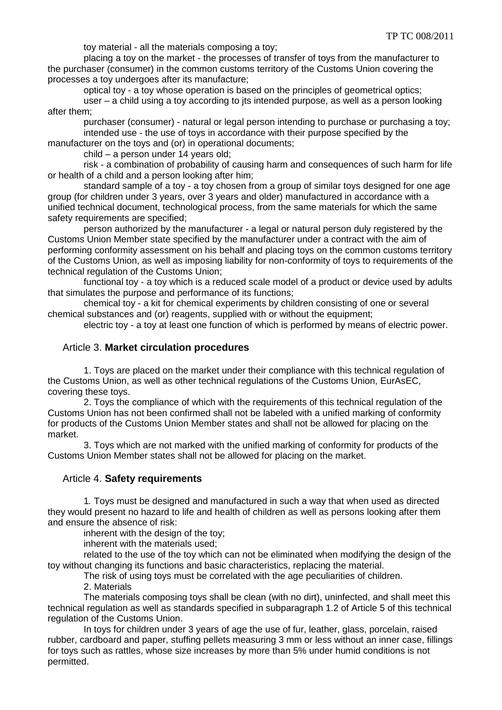toy material - all the materials composing a toy;

placing a toy on the market - the processes of transfer of toys from the manufacturer to the purchaser (consumer) in the common customs territory of the Customs Union covering the processes a toy undergoes after its manufacture;

optical toy - a toy whose operation is based on the principles of geometrical optics;

user – a child using a toy according to jts intended purpose, as well as a person looking after them;

purchaser (consumer) - natural or legal person intending to purchase or purchasing a toy; intended use - the use of toys in accordance with their purpose specified by the

manufacturer on the toys and (or) in operational documents;

child – a person under 14 years old;

risk - a combination of probability of causing harm and consequences of such harm for life or health of a child and a person looking after him;

standard sample of a toy - a toy chosen from a group of similar toys designed for one age group (for children under 3 years, over 3 years and older) manufactured in accordance with a unified technical document, technological process, from the same materials for which the same safety requirements are specified:

person authorized by the manufacturer - a legal or natural person duly registered by the Customs Union Member state specified by the manufacturer under a contract with the aim of performing conformity assessment on his behalf and placing toys on the common customs territory of the Customs Union, as well as imposing liability for non-conformity of toys to requirements of the technical regulation of the Customs Union;

functional toy - a toy which is a reduced scale model of a product or device used by adults that simulates the purpose and performance of its functions;

chemical toy - a kit for chemical experiments by children consisting of one or several chemical substances and (or) reagents, supplied with or without the equipment;

electric toy - a toy at least one function of which is performed by means of electric power.

#### Article 3. **Market circulation procedures**

1. Toys are placed on the market under their compliance with this technical regulation of the Customs Union, as well as other technical regulations of the Customs Union, EurAsEC, covering these toys.

2. Toys the compliance of which with the requirements of this technical regulation of the Customs Union has not been confirmed shall not be labeled with a unified marking of conformity for products of the Customs Union Member states and shall not be allowed for placing on the market.

3. Toys which are not marked with the unified marking of conformity for products of the Customs Union Member states shall not be allowed for placing on the market.

#### Article 4. **Safety requirements**

1*.* Toys must be designed and manufactured in such a way that when used as directed they would present no hazard to life and health of children as well as persons looking after them and ensure the absence of risk:

inherent with the design of the toy;

inherent with the materials used;

related to the use of the toy which can not be eliminated when modifying the design of the toy without changing its functions and basic characteristics, replacing the material.

The risk of using toys must be correlated with the age peculiarities of children.

2. Materials

The materials composing toys shall be clean (with no dirt), uninfected, and shall meet this technical regulation as well as standards specified in subparagraph 1.2 of Article 5 of this technical regulation of the Customs Union.

In toys for children under 3 years of age the use of fur, leather, glass, porcelain, raised rubber, cardboard and paper, stuffing pellets measuring 3 mm or less without an inner case, fillings for toys such as rattles, whose size increases by more than 5% under humid conditions is not permitted.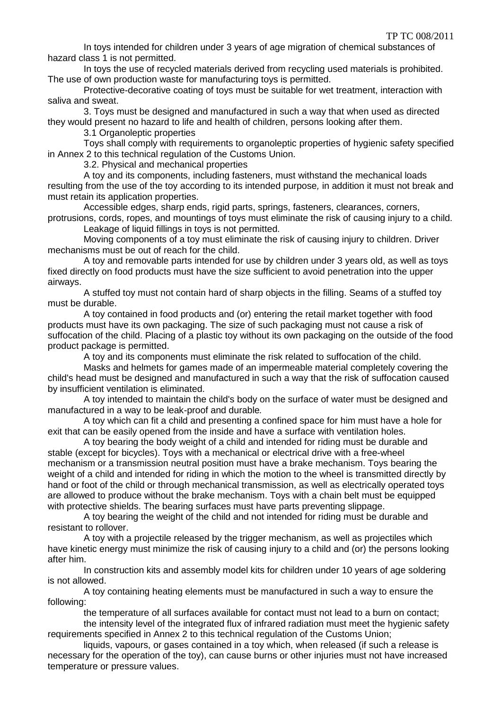In toys intended for children under 3 years of age migration of chemical substances of hazard class 1 is not permitted.

In toys the use of recycled materials derived from recycling used materials is prohibited. The use of own production waste for manufacturing toys is permitted.

Protective-decorative coating of toys must be suitable for wet treatment, interaction with saliva and sweat.

3. Toys must be designed and manufactured in such a way that when used as directed they would present no hazard to life and health of children, persons looking after them.

3.1 Organoleptic properties

Toys shall comply with requirements to organoleptic properties of hygienic safety specified in Annex 2 to this technical regulation of the Customs Union.

3.2. Physical and mechanical properties

A toy and its components, including fasteners, must withstand the mechanical loads resulting from the use of the toy according to its intended purpose*,* in addition it must not break and must retain its application properties.

Accessible edges, sharp ends, rigid parts, springs, fasteners, clearances, corners, protrusions, cords, ropes, and mountings of toys must eliminate the risk of causing injury to a child.

Leakage of liquid fillings in toys is not permitted.

Moving components of a toy must eliminate the risk of causing injury to children. Driver mechanisms must be out of reach for the child.

A toy and removable parts intended for use by children under 3 years old, as well as toys fixed directly on food products must have the size sufficient to avoid penetration into the upper airways.

A stuffed toy must not contain hard of sharp objects in the filling. Seams of a stuffed toy must be durable.

A toy contained in food products and (or) entering the retail market together with food products must have its own packaging. The size of such packaging must not cause a risk of suffocation of the child. Placing of a plastic toy without its own packaging on the outside of the food product package is permitted.

A toy and its components must eliminate the risk related to suffocation of the child.

Masks and helmets for games made of an impermeable material completely covering the child's head must be designed and manufactured in such a way that the risk of suffocation caused by insufficient ventilation is eliminated.

A toy intended to maintain the child's body on the surface of water must be designed and manufactured in a way to be leak-proof and durable*.*

A toy which can fit a child and presenting a confined space for him must have a hole for exit that can be easily opened from the inside and have a surface with ventilation holes.

A toy bearing the body weight of a child and intended for riding must be durable and stable (except for bicycles). Toys with a mechanical or electrical drive with a free-wheel mechanism or a transmission neutral position must have a brake mechanism. Toys bearing the weight of a child and intended for riding in which the motion to the wheel is transmitted directly by hand or foot of the child or through mechanical transmission, as well as electrically operated toys are allowed to produce without the brake mechanism. Toys with a chain belt must be equipped with protective shields. The bearing surfaces must have parts preventing slippage.

A toy bearing the weight of the child and not intended for riding must be durable and resistant to rollover.

A toy with a projectile released by the trigger mechanism, as well as projectiles which have kinetic energy must minimize the risk of causing injury to a child and (or) the persons looking after him.

In construction kits and assembly model kits for children under 10 years of age soldering is not allowed.

A toy containing heating elements must be manufactured in such a way to ensure the following:

the temperature of all surfaces available for contact must not lead to a burn on contact;

the intensity level of the integrated flux of infrared radiation must meet the hygienic safety requirements specified in Annex 2 to this technical regulation of the Customs Union;

liquids, vapours, or gases contained in a toy which, when released (if such a release is necessary for the operation of the toy), can cause burns or other injuries must not have increased temperature or pressure values.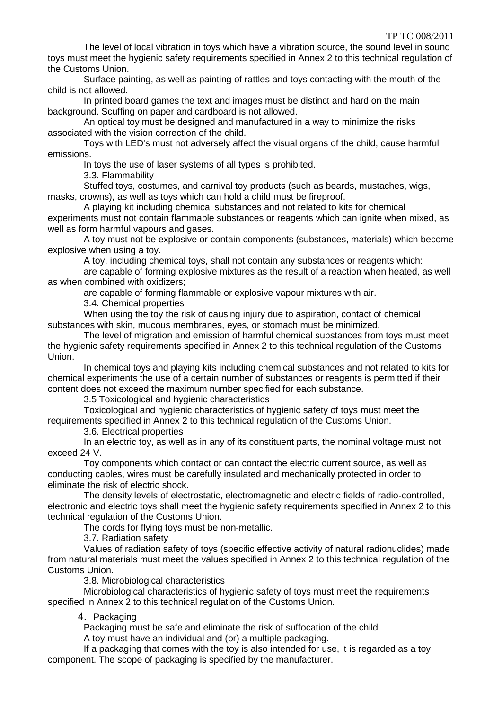The level of local vibration in toys which have a vibration source, the sound level in sound toys must meet the hygienic safety requirements specified in Annex 2 to this technical regulation of the Customs Union.

Surface painting, as well as painting of rattles and toys contacting with the mouth of the child is not allowed.

In printed board games the text and images must be distinct and hard on the main background. Scuffing on paper and cardboard is not allowed.

An optical toy must be designed and manufactured in a way to minimize the risks associated with the vision correction of the child.

Toys with LED's must not adversely affect the visual organs of the child, cause harmful emissions.

In toys the use of laser systems of all types is prohibited.

3.3. Flammability

Stuffed toys, costumes, and carnival toy products (such as beards, mustaches, wigs, masks, crowns), as well as toys which can hold a child must be fireproof.

A playing kit including chemical substances and not related to kits for chemical experiments must not contain flammable substances or reagents which can ignite when mixed, as well as form harmful vapours and gases.

A toy must not be explosive or contain components (substances, materials) which become explosive when using a toy.

A toy, including chemical toys, shall not contain any substances or reagents which:

are capable of forming explosive mixtures as the result of a reaction when heated, as well as when combined with oxidizers;

are capable of forming flammable or explosive vapour mixtures with air.

3.4. Chemical properties

When using the toy the risk of causing injury due to aspiration, contact of chemical substances with skin, mucous membranes, eyes, or stomach must be minimized.

The level of migration and emission of harmful chemical substances from toys must meet the hygienic safety requirements specified in Annex 2 to this technical regulation of the Customs Union.

In chemical toys and playing kits including chemical substances and not related to kits for chemical experiments the use of a certain number of substances or reagents is permitted if their content does not exceed the maximum number specified for each substance.

3.5 Toxicological and hygienic characteristics

Toxicological and hygienic characteristics of hygienic safety of toys must meet the requirements specified in Annex 2 to this technical regulation of the Customs Union.

3.6. Electrical properties

In an electric toy, as well as in any of its constituent parts, the nominal voltage must not exceed 24 V.

Toy components which contact or can contact the electric current source, as well as conducting cables, wires must be carefully insulated and mechanically protected in order to eliminate the risk of electric shock.

The density levels of electrostatic, electromagnetic and electric fields of radio-controlled, electronic and electric toys shall meet the hygienic safety requirements specified in Annex 2 to this technical regulation of the Customs Union.

The cords for flying toys must be non-metallic.

3.7. Radiation safety

Values of radiation safety of toys (specific effective activity of natural radionuclides) made from natural materials must meet the values specified in Annex 2 to this technical regulation of the Customs Union.

3.8. Microbiological characteristics

Microbiological characteristics of hygienic safety of toys must meet the requirements specified in Annex 2 to this technical regulation of the Customs Union.

4. Packaging

Packaging must be safe and eliminate the risk of suffocation of the child*.*

A toy must have an individual and (or) a multiple packaging.

If a packaging that comes with the toy is also intended for use, it is regarded as a toy component. The scope of packaging is specified by the manufacturer.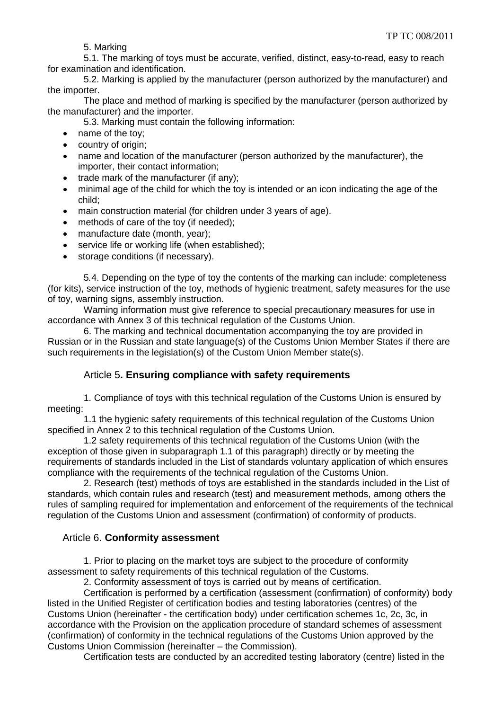5. Marking

5.1. The marking of toys must be accurate, verified, distinct, easy-to-read, easy to reach for examination and identification.

5.2. Marking is applied by the manufacturer (person authorized by the manufacturer) and the importer.

The place and method of marking is specified by the manufacturer (person authorized by the manufacturer) and the importer.

5.3. Marking must contain the following information:

- name of the toy;
- country of origin;
- name and location of the manufacturer (person authorized by the manufacturer), the importer, their contact information;
- $\bullet$  trade mark of the manufacturer (if any);
- minimal age of the child for which the toy is intended or an icon indicating the age of the child;
- main construction material (for children under 3 years of age).
- methods of care of the toy (if needed);
- manufacture date (month, year);
- service life or working life (when established);
- storage conditions (if necessary).

5*.*4. Depending on the type of toy the contents of the marking can include: completeness (for kits), service instruction of the toy, methods of hygienic treatment, safety measures for the use of toy, warning signs, assembly instruction.

Warning information must give reference to special precautionary measures for use in accordance with Annex 3 of this technical regulation of the Customs Union.

6. The marking and technical documentation accompanying the toy are provided in Russian or in the Russian and state language(s) of the Customs Union Member States if there are such requirements in the legislation(s) of the Custom Union Member state(s).

## Article 5**. Ensuring compliance with safety requirements**

1. Compliance of toys with this technical regulation of the Customs Union is ensured by meeting:

1.1 the hygienic safety requirements of this technical regulation of the Customs Union specified in Annex 2 to this technical regulation of the Customs Union.

1.2 safety requirements of this technical regulation of the Customs Union (with the exception of those given in subparagraph 1.1 of this paragraph) directly or by meeting the requirements of standards included in the List of standards voluntary application of which ensures compliance with the requirements of the technical regulation of the Customs Union.

2. Research (test) methods of toys are established in the standards included in the List of standards, which contain rules and research (test) and measurement methods, among others the rules of sampling required for implementation and enforcement of the requirements of the technical regulation of the Customs Union and assessment (confirmation) of conformity of products.

## Article 6. **Conformity assessment**

1. Prior to placing on the market toys are subject to the procedure of conformity assessment to safety requirements of this technical regulation of the Customs.

2. Conformity assessment of toys is carried out by means of certification.

Certification is performed by a certification (assessment (confirmation) of conformity) body listed in the Unified Register of certification bodies and testing laboratories (centres) of the Customs Union (hereinafter - the certification body) under certification schemes 1c, 2c, 3c, in accordance with the Provision on the application procedure of standard schemes of assessment (confirmation) of conformity in the technical regulations of the Customs Union approved by the Customs Union Commission (hereinafter – the Commission).

Certification tests are conducted by an accredited testing laboratory (centre) listed in the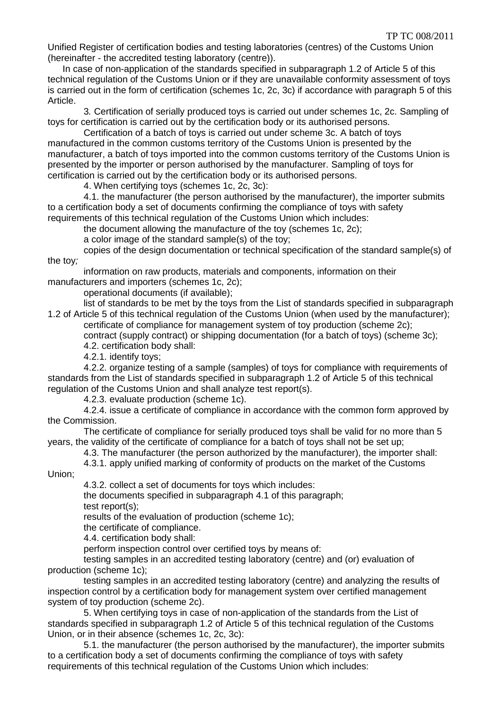Unified Register of certification bodies and testing laboratories (centres) of the Customs Union (hereinafter - the accredited testing laboratory (centre)).

In case of non-application of the standards specified in subparagraph 1.2 of Article 5 of this technical regulation of the Customs Union or if they are unavailable conformity assessment of toys is carried out in the form of certification (schemes 1c, 2c, 3c) if accordance with paragraph 5 of this Article.

3*.* Certification of serially produced toys is carried out under schemes 1c, 2c. Sampling of toys for certification is carried out by the certification body or its authorised persons.

Certification of a batch of toys is carried out under scheme 3c. A batch of toys manufactured in the common customs territory of the Customs Union is presented by the manufacturer, a batch of toys imported into the common customs territory of the Customs Union is presented by the importer or person authorised by the manufacturer. Sampling of toys for certification is carried out by the certification body or its authorised persons.

4. When certifying toys (schemes 1c, 2c, 3c):

4.1. the manufacturer (the person authorised by the manufacturer), the importer submits to a certification body a set of documents confirming the compliance of toys with safety requirements of this technical regulation of the Customs Union which includes:

the document allowing the manufacture of the toy (schemes 1c, 2c);

a color image of the standard sample(s) of the toy;

copies of the design documentation or technical specification of the standard sample(s) of the toy*;*

information on raw products, materials and components, information on their manufacturers and importers (schemes 1c, 2c);

operational documents (if available);

list of standards to be met by the toys from the List of standards specified in subparagraph 1.2 of Article 5 of this technical regulation of the Customs Union (when used by the manufacturer);

certificate of compliance for management system of toy production (scheme 2c); contract (supply contract) or shipping documentation (for a batch of toys) (scheme 3c); 4.2. certification body shall:

4.2.1. identify toys;

4.2.2. organize testing of a sample (samples) of toys for compliance with requirements of standards from the List of standards specified in subparagraph 1.2 of Article 5 of this technical regulation of the Customs Union and shall analyze test report(s).

4.2.3. evaluate production (scheme 1c).

4.2.4. issue a certificate of compliance in accordance with the common form approved by the Commission.

The certificate of compliance for serially produced toys shall be valid for no more than 5 years, the validity of the certificate of compliance for a batch of toys shall not be set up;

4.3. The manufacturer (the person authorized by the manufacturer), the importer shall:

4.3.1. apply unified marking of conformity of products on the market of the Customs

Union;

4.3.2. collect a set of documents for toys which includes:

the documents specified in subparagraph 4.1 of this paragraph; test report(s);

results of the evaluation of production (scheme 1c);

the certificate of compliance.

4.4. certification body shall:

perform inspection control over certified toys by means of:

testing samples in an accredited testing laboratory (centre) and (or) evaluation of production (scheme 1c);

testing samples in an accredited testing laboratory (centre) and analyzing the results of inspection control by a certification body for management system over certified management system of toy production (scheme 2c).

5. When certifying toys in case of non-application of the standards from the List of standards specified in subparagraph 1.2 of Article 5 of this technical regulation of the Customs Union, or in their absence (schemes 1c, 2c, 3c):

5.1. the manufacturer (the person authorised by the manufacturer), the importer submits to a certification body a set of documents confirming the compliance of toys with safety requirements of this technical regulation of the Customs Union which includes: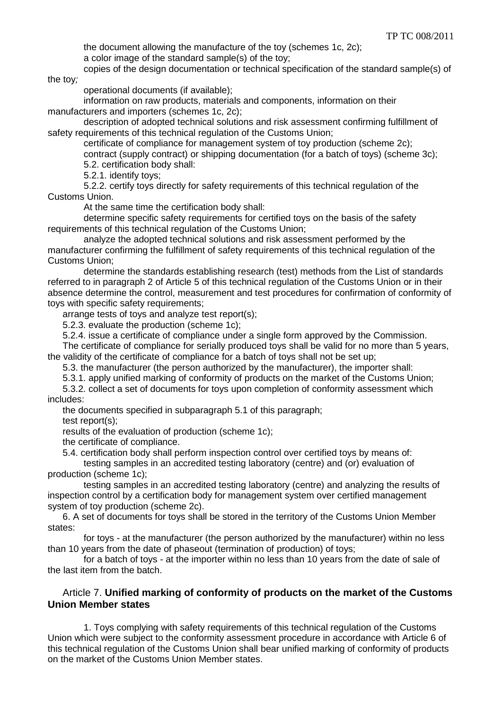the document allowing the manufacture of the toy (schemes 1c, 2c); a color image of the standard sample(s) of the toy;

copies of the design documentation or technical specification of the standard sample(s) of the toy*;*

operational documents (if available);

information on raw products, materials and components, information on their manufacturers and importers (schemes 1c, 2c);

description of adopted technical solutions and risk assessment confirming fulfillment of safety requirements of this technical regulation of the Customs Union;

certificate of compliance for management system of toy production (scheme 2c);

contract (supply contract) or shipping documentation (for a batch of toys) (scheme 3c); 5.2. certification body shall:

5.2.1. identify toys;

5.2.2. certify toys directly for safety requirements of this technical regulation of the Customs Union.

At the same time the certification body shall:

determine specific safety requirements for certified toys on the basis of the safety requirements of this technical regulation of the Customs Union;

analyze the adopted technical solutions and risk assessment performed by the manufacturer confirming the fulfillment of safety requirements of this technical regulation of the Customs Union;

determine the standards establishing research (test) methods from the List of standards referred to in paragraph 2 of Article 5 of this technical regulation of the Customs Union or in their absence determine the control, measurement and test procedures for confirmation of conformity of toys with specific safety requirements;

arrange tests of toys and analyze test report(s);

5.2.3. evaluate the production (scheme 1c);

5.2.4. issue a certificate of compliance under a single form approved by the Commission.

The certificate of compliance for serially produced toys shall be valid for no more than 5 years, the validity of the certificate of compliance for a batch of toys shall not be set up;

5.3. the manufacturer (the person authorized by the manufacturer), the importer shall:

5.3.1. apply unified marking of conformity of products on the market of the Customs Union;

5.3.2. collect a set of documents for toys upon completion of conformity assessment which includes:

the documents specified in subparagraph 5.1 of this paragraph;

test report(s);

results of the evaluation of production (scheme 1c);

the certificate of compliance.

5.4. certification body shall perform inspection control over certified toys by means of:

testing samples in an accredited testing laboratory (centre) and (or) evaluation of production (scheme 1c);

testing samples in an accredited testing laboratory (centre) and analyzing the results of inspection control by a certification body for management system over certified management system of toy production (scheme 2c).

6. A set of documents for toys shall be stored in the territory of the Customs Union Member states:

for toys - at the manufacturer (the person authorized by the manufacturer) within no less than 10 years from the date of phaseout (termination of production) of toys;

for a batch of toys - at the importer within no less than 10 years from the date of sale of the last item from the batch.

#### Article 7. **Unified marking of conformity of products on the market of the Customs Union Member states**

1. Toys complying with safety requirements of this technical regulation of the Customs Union which were subject to the conformity assessment procedure in accordance with Article 6 of this technical regulation of the Customs Union shall bear unified marking of conformity of products on the market of the Customs Union Member states.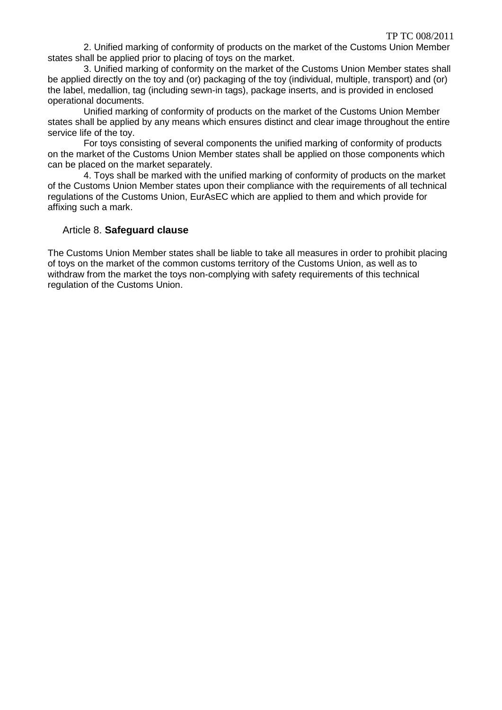2. Unified marking of conformity of products on the market of the Customs Union Member states shall be applied prior to placing of toys on the market.

3. Unified marking of conformity on the market of the Customs Union Member states shall be applied directly on the toy and (or) packaging of the toy (individual, multiple, transport) and (or) the label, medallion, tag (including sewn-in tags), package inserts, and is provided in enclosed operational documents.

Unified marking of conformity of products on the market of the Customs Union Member states shall be applied by any means which ensures distinct and clear image throughout the entire service life of the toy.

For toys consisting of several components the unified marking of conformity of products on the market of the Customs Union Member states shall be applied on those components which can be placed on the market separately.

4. Toys shall be marked with the unified marking of conformity of products on the market of the Customs Union Member states upon their compliance with the requirements of all technical regulations of the Customs Union, EurAsEC which are applied to them and which provide for affixing such a mark.

#### Article 8. **Safeguard clause**

The Customs Union Member states shall be liable to take all measures in order to prohibit placing of toys on the market of the common customs territory of the Customs Union, as well as to withdraw from the market the toys non-complying with safety requirements of this technical regulation of the Customs Union.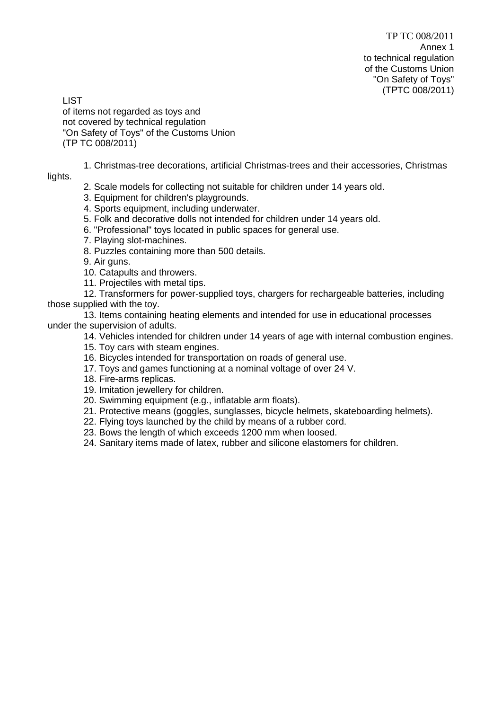**LIST** of items not regarded as toys and not covered by technical regulation "On Safety of Toys" of the Customs Union (ТР TC 008/2011)

1. Christmas-tree decorations, artificial Christmas-trees and their accessories, Christmas lights.

- - 2. Scale models for collecting not suitable for children under 14 years old.
	- 3. Equipment for children's playgrounds.
	- 4. Sports equipment, including underwater.
	- 5. Folk and decorative dolls not intended for children under 14 years old.
	- 6. "Professional" toys located in public spaces for general use.
	- 7. Playing slot-machines.
	- 8. Puzzles containing more than 500 details.
	- 9. Air guns.
	- 10. Catapults and throwers.
	- 11. Projectiles with metal tips.
- 12. Transformers for power-supplied toys, chargers for rechargeable batteries, including those supplied with the toy.
- 13. Items containing heating elements and intended for use in educational processes under the supervision of adults.
	- 14. Vehicles intended for children under 14 years of age with internal combustion engines.
	- 15. Toy cars with steam engines.
	- 16. Bicycles intended for transportation on roads of general use.
	- 17. Toys and games functioning at a nominal voltage of over 24 V.
	- 18. Fire-arms replicas.
	- 19. Imitation jewellery for children.
	- 20. Swimming equipment (e.g., inflatable arm floats).
	- 21. Protective means (goggles, sunglasses, bicycle helmets, skateboarding helmets).
	- 22. Flying toys launched by the child by means of a rubber cord.
	- 23. Bows the length of which exceeds 1200 mm when loosed.
	- 24. Sanitary items made of latex, rubber and silicone elastomers for children.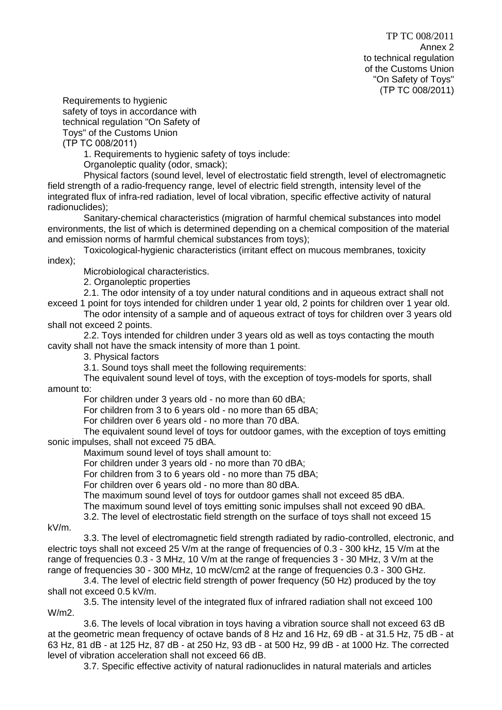Requirements to hygienic safety of toys in accordance with technical regulation "On Safety of Toys" of the Customs Union (ТР TC 008/2011)

1. Requirements to hygienic safety of toys include:

Organoleptic quality (odor, smack);

Physical factors (sound level, level of electrostatic field strength, level of electromagnetic field strength of a radio-frequency range, level of electric field strength, intensity level of the integrated flux of infra-red radiation, level of local vibration, specific effective activity of natural radionuclides);

Sanitary-chemical characteristics (migration of harmful chemical substances into model environments, the list of which is determined depending on a chemical composition of the material and emission norms of harmful chemical substances from toys);

Toxicological-hygienic characteristics (irritant effect on mucous membranes, toxicity

index);

Microbiological characteristics.

2. Organoleptic properties

2.1. The odor intensity of a toy under natural conditions and in aqueous extract shall not

exceed 1 point for toys intended for children under 1 year old, 2 points for children over 1 year old. The odor intensity of a sample and of aqueous extract of toys for children over 3 years old

shall not exceed 2 points.

2.2. Toys intended for children under 3 years old as well as toys contacting the mouth cavity shall not have the smack intensity of more than 1 point.

3. Physical factors

3.1. Sound toys shall meet the following requirements:

The equivalent sound level of toys, with the exception of toys-models for sports, shall amount to:

For children under 3 years old - no more than 60 dBA;

For children from 3 to 6 years old - no more than 65 dBA;

For children over 6 years old - no more than 70 dBA.

The equivalent sound level of toys for outdoor games, with the exception of toys emitting sonic impulses, shall not exceed 75 dBA.

Maximum sound level of toys shall amount to:

For children under 3 years old - no more than 70 dBA;

For children from 3 to 6 years old - no more than 75 dBA;

For children over 6 years old - no more than 80 dBA.

The maximum sound level of toys for outdoor games shall not exceed 85 dBA.

The maximum sound level of toys emitting sonic impulses shall not exceed 90 dBA.

3.2. The level of electrostatic field strength on the surface of toys shall not exceed 15

kV/m.

3.3. The level of electromagnetic field strength radiated by radio-controlled, electronic, and electric toys shall not exceed 25 V/m at the range of frequencies of 0.3 - 300 kHz, 15 V/m at the range of frequencies 0.3 - 3 MHz, 10 V/m at the range of frequencies 3 - 30 MHz, 3 V/m at the range of frequencies 30 - 300 MHz, 10 mcW/cm2 at the range of frequencies 0.3 - 300 GHz.

3.4. The level of electric field strength of power frequency (50 Hz) produced by the toy shall not exceed 0.5 kV/m.

3.5. The intensity level of the integrated flux of infrared radiation shall not exceed 100 W/m2.

3.6. The levels of local vibration in toys having a vibration source shall not exceed 63 dB at the geometric mean frequency of octave bands of 8 Hz and 16 Hz, 69 dB - at 31.5 Hz, 75 dB - at 63 Hz, 81 dB - at 125 Hz, 87 dB - at 250 Hz, 93 dB - at 500 Hz, 99 dB - at 1000 Hz. The corrected level of vibration acceleration shall not exceed 66 dB.

3.7. Specific effective activity of natural radionuclides in natural materials and articles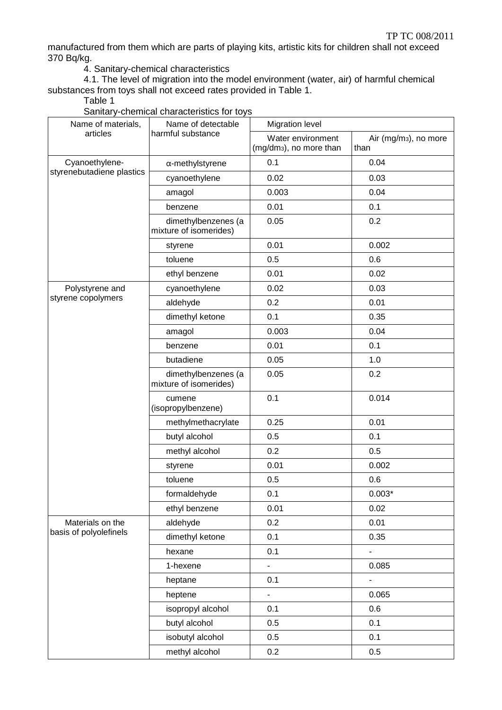manufactured from them which are parts of playing kits, artistic kits for children shall not exceed 370 Bq/kg.

4. Sanitary-chemical characteristics

4.1. The level of migration into the model environment (water, air) of harmful chemical substances from toys shall not exceed rates provided in Table 1.

Table 1

| Name of materials,        | Name of detectable                            | <b>Migration level</b>                                   |                                           |  |
|---------------------------|-----------------------------------------------|----------------------------------------------------------|-------------------------------------------|--|
| articles                  | harmful substance                             | Water environment<br>(mg/dm <sub>3</sub> ), no more than | Air (mg/m <sub>3</sub> ), no more<br>than |  |
| Cyanoethylene-            | $\alpha$ -methylstyrene                       | 0.1                                                      | 0.04                                      |  |
| styrenebutadiene plastics | cyanoethylene                                 | 0.02                                                     | 0.03                                      |  |
|                           | amagol                                        | 0.003                                                    | 0.04                                      |  |
|                           | benzene                                       | 0.01                                                     | 0.1                                       |  |
|                           | dimethylbenzenes (a<br>mixture of isomerides) | 0.05                                                     | 0.2                                       |  |
|                           | styrene                                       | 0.01                                                     | 0.002                                     |  |
|                           | toluene                                       | 0.5                                                      | 0.6                                       |  |
|                           | ethyl benzene                                 | 0.01                                                     | 0.02                                      |  |
| Polystyrene and           | cyanoethylene                                 | 0.02                                                     | 0.03                                      |  |
| styrene copolymers        | aldehyde                                      | 0.2                                                      | 0.01                                      |  |
|                           | dimethyl ketone                               | 0.1                                                      | 0.35                                      |  |
|                           | amagol                                        | 0.003                                                    | 0.04                                      |  |
|                           | benzene                                       | 0.01                                                     | 0.1                                       |  |
|                           | butadiene                                     | 0.05                                                     | 1.0                                       |  |
|                           | dimethylbenzenes (a<br>mixture of isomerides) | 0.05                                                     | 0.2                                       |  |
|                           | cumene<br>(isopropylbenzene)                  | 0.1                                                      | 0.014                                     |  |
|                           | methylmethacrylate                            | 0.25                                                     | 0.01                                      |  |
|                           | butyl alcohol                                 | 0.5                                                      | 0.1                                       |  |
|                           | methyl alcohol                                | 0.2                                                      | 0.5                                       |  |
|                           | styrene                                       | 0.01                                                     | 0.002                                     |  |
|                           | toluene                                       | 0.5                                                      | 0.6                                       |  |
|                           | formaldehyde                                  | 0.1                                                      | $0.003*$                                  |  |
|                           | ethyl benzene                                 | 0.01                                                     | 0.02                                      |  |
| Materials on the          | aldehyde                                      | 0.2                                                      | 0.01                                      |  |
| basis of polyolefinels    | dimethyl ketone                               | 0.1                                                      | 0.35                                      |  |
|                           | hexane                                        | 0.1                                                      | $\blacksquare$                            |  |
|                           | 1-hexene                                      | $\blacksquare$                                           | 0.085                                     |  |
|                           | heptane                                       | 0.1                                                      | $\blacksquare$                            |  |
|                           | heptene                                       | -                                                        | 0.065                                     |  |
|                           | isopropyl alcohol                             | 0.1                                                      | 0.6                                       |  |
|                           | butyl alcohol                                 | 0.5                                                      | 0.1                                       |  |
|                           | isobutyl alcohol                              | 0.5                                                      | 0.1                                       |  |
|                           | methyl alcohol                                | 0.2                                                      | 0.5                                       |  |

Sanitary-chemical characteristics for toys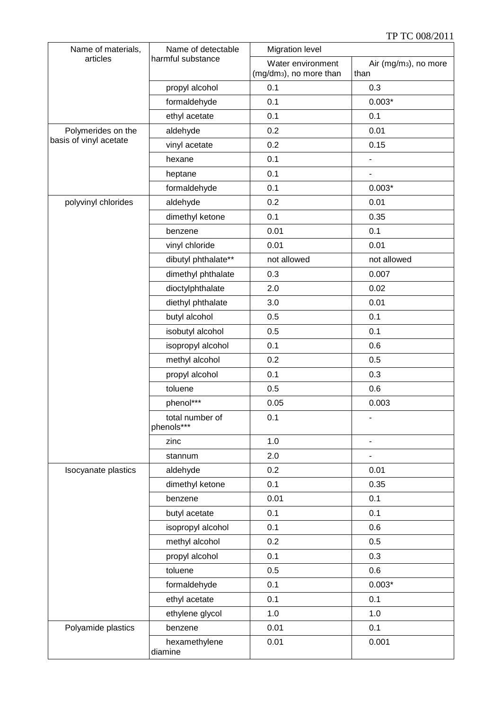| Name of materials,     | Name of detectable            | <b>Migration level</b>                                   |                                           |  |
|------------------------|-------------------------------|----------------------------------------------------------|-------------------------------------------|--|
| articles               | harmful substance             | Water environment<br>(mg/dm <sub>3</sub> ), no more than | Air (mg/m <sub>3</sub> ), no more<br>than |  |
|                        | propyl alcohol                | 0.1                                                      | 0.3                                       |  |
|                        | formaldehyde                  | 0.1                                                      | $0.003*$                                  |  |
|                        | ethyl acetate                 | 0.1                                                      | 0.1                                       |  |
| Polymerides on the     | aldehyde                      | 0.2                                                      | 0.01                                      |  |
| basis of vinyl acetate | vinyl acetate                 | 0.2                                                      | 0.15                                      |  |
|                        | hexane                        | 0.1                                                      | $\overline{a}$                            |  |
|                        | heptane                       | 0.1                                                      |                                           |  |
|                        | formaldehyde                  | 0.1                                                      | $0.003*$                                  |  |
| polyvinyl chlorides    | aldehyde                      | 0.2<br>0.01                                              |                                           |  |
|                        | dimethyl ketone               | 0.1                                                      | 0.35                                      |  |
|                        | benzene                       | 0.01                                                     | 0.1                                       |  |
|                        | vinyl chloride                | 0.01                                                     | 0.01                                      |  |
|                        | dibutyl phthalate**           | not allowed                                              | not allowed                               |  |
|                        | dimethyl phthalate            | 0.3                                                      | 0.007                                     |  |
|                        | dioctylphthalate              | 2.0                                                      | 0.02                                      |  |
|                        | diethyl phthalate             | 3.0                                                      | 0.01                                      |  |
|                        | butyl alcohol                 | 0.5                                                      | 0.1                                       |  |
|                        | isobutyl alcohol              | 0.5                                                      | 0.1                                       |  |
|                        | isopropyl alcohol             | 0.1                                                      | 0.6                                       |  |
|                        | methyl alcohol                | 0.2                                                      | 0.5                                       |  |
|                        | propyl alcohol                | 0.1                                                      | 0.3                                       |  |
|                        | toluene                       | 0.5                                                      | 0.6                                       |  |
|                        | phenol***                     | 0.05                                                     | 0.003                                     |  |
|                        | total number of<br>phenols*** | 0.1                                                      | $\overline{\phantom{0}}$                  |  |
|                        | zinc                          | 1.0                                                      | $\overline{\phantom{0}}$                  |  |
|                        | stannum                       | 2.0                                                      |                                           |  |
| Isocyanate plastics    | aldehyde                      | 0.2                                                      | 0.01                                      |  |
|                        | dimethyl ketone               | 0.1                                                      | 0.35                                      |  |
|                        | benzene                       | 0.01                                                     | 0.1                                       |  |
|                        | butyl acetate                 | 0.1                                                      | 0.1                                       |  |
|                        | isopropyl alcohol             | 0.1                                                      | 0.6                                       |  |
|                        | methyl alcohol                | 0.2                                                      | 0.5                                       |  |
|                        | propyl alcohol                | 0.1                                                      | 0.3                                       |  |
|                        | toluene                       | 0.5                                                      | 0.6                                       |  |
|                        | formaldehyde                  | 0.1                                                      | $0.003*$                                  |  |
|                        | ethyl acetate                 | 0.1                                                      | 0.1                                       |  |
|                        | ethylene glycol               | 1.0                                                      | 1.0                                       |  |
| Polyamide plastics     | benzene                       | 0.01                                                     | 0.1                                       |  |
|                        | hexamethylene<br>diamine      | 0.01                                                     | 0.001                                     |  |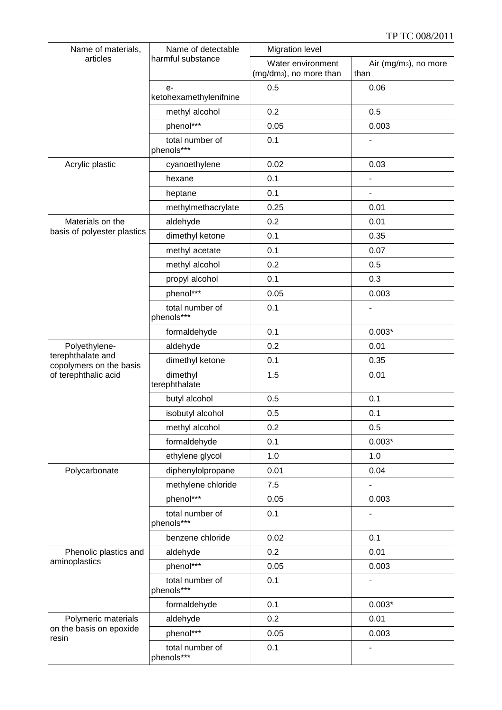| Name of materials,                           | Name of detectable             | <b>Migration level</b>                                   |                                           |  |
|----------------------------------------------|--------------------------------|----------------------------------------------------------|-------------------------------------------|--|
| articles                                     | harmful substance              | Water environment<br>(mg/dm <sub>3</sub> ), no more than | Air (mg/m <sub>3</sub> ), no more<br>than |  |
|                                              | $e-$<br>ketohexamethylenifnine | 0.5                                                      | 0.06                                      |  |
|                                              | methyl alcohol                 | 0.2                                                      | 0.5                                       |  |
|                                              | phenol***                      | 0.05                                                     | 0.003                                     |  |
|                                              | total number of<br>phenols***  | 0.1                                                      |                                           |  |
| Acrylic plastic                              | cyanoethylene                  | 0.02                                                     | 0.03                                      |  |
|                                              | hexane                         | 0.1                                                      | $\overline{\phantom{0}}$                  |  |
|                                              | heptane                        | 0.1                                                      |                                           |  |
|                                              | methylmethacrylate             | 0.25                                                     | 0.01                                      |  |
| Materials on the                             | aldehyde                       | 0.2                                                      | 0.01                                      |  |
| basis of polyester plastics                  | dimethyl ketone                | 0.1                                                      | 0.35                                      |  |
|                                              | methyl acetate                 | 0.1                                                      | 0.07                                      |  |
|                                              | methyl alcohol                 | 0.2                                                      | 0.5                                       |  |
|                                              | propyl alcohol                 | 0.1                                                      | 0.3                                       |  |
|                                              | phenol***                      | 0.05                                                     | 0.003                                     |  |
|                                              | total number of<br>phenols***  | 0.1                                                      |                                           |  |
|                                              | formaldehyde                   | 0.1                                                      | $0.003*$                                  |  |
| Polyethylene-                                | aldehyde                       | 0.2                                                      | 0.01                                      |  |
| terephthalate and<br>copolymers on the basis | dimethyl ketone                | 0.1                                                      | 0.35                                      |  |
| of terephthalic acid                         | dimethyl<br>terephthalate      | 1.5                                                      | 0.01                                      |  |
|                                              | butyl alcohol                  | 0.5                                                      | 0.1                                       |  |
|                                              | isobutyl alcohol               | 0.5                                                      | 0.1                                       |  |
|                                              | methyl alcohol                 | 0.2                                                      | 0.5                                       |  |
|                                              | formaldehyde                   | 0.1                                                      | $0.003*$                                  |  |
|                                              | ethylene glycol                | 1.0                                                      | 1.0                                       |  |
| Polycarbonate                                | diphenylolpropane              | 0.01                                                     | 0.04                                      |  |
|                                              | methylene chloride             | 7.5                                                      |                                           |  |
|                                              | phenol***                      | 0.05                                                     | 0.003                                     |  |
|                                              | total number of<br>phenols***  | 0.1                                                      |                                           |  |
|                                              | benzene chloride               | 0.02                                                     | 0.1                                       |  |
| Phenolic plastics and                        | aldehyde                       | 0.2                                                      | 0.01                                      |  |
| aminoplastics                                | phenol***                      | 0.05                                                     | 0.003                                     |  |
|                                              | total number of<br>phenols***  | 0.1                                                      |                                           |  |
|                                              | formaldehyde                   | 0.1                                                      | $0.003*$                                  |  |
| Polymeric materials                          | aldehyde                       | 0.2                                                      | 0.01                                      |  |
| on the basis on epoxide<br>resin             | phenol***                      | 0.05                                                     | 0.003                                     |  |
|                                              | total number of<br>phenols***  | 0.1                                                      | $\overline{\phantom{0}}$                  |  |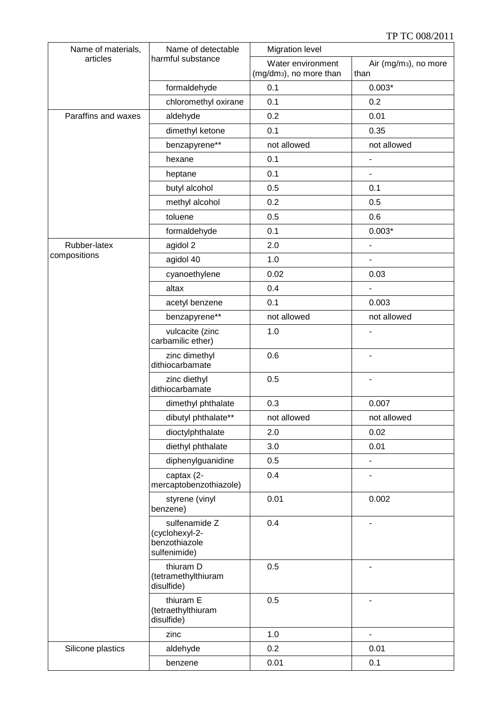| Name of materials,  | Name of detectable                                               | <b>Migration level</b>                                   |                                           |  |
|---------------------|------------------------------------------------------------------|----------------------------------------------------------|-------------------------------------------|--|
| articles            | harmful substance                                                | Water environment<br>(mg/dm <sub>3</sub> ), no more than | Air (mg/m <sub>3</sub> ), no more<br>than |  |
|                     | formaldehyde                                                     | 0.1                                                      | $0.003*$                                  |  |
|                     | chloromethyl oxirane                                             | 0.1                                                      | 0.2                                       |  |
| Paraffins and waxes | aldehyde                                                         | 0.2                                                      | 0.01                                      |  |
|                     | dimethyl ketone                                                  | 0.1                                                      | 0.35                                      |  |
|                     | benzapyrene**                                                    | not allowed                                              | not allowed                               |  |
|                     | hexane                                                           | 0.1                                                      | $\overline{a}$                            |  |
|                     | heptane                                                          | 0.1                                                      | $\overline{\phantom{a}}$                  |  |
|                     | butyl alcohol                                                    | 0.5                                                      | 0.1                                       |  |
|                     | methyl alcohol                                                   | 0.2                                                      | 0.5                                       |  |
|                     | toluene                                                          | 0.5                                                      | 0.6                                       |  |
|                     | formaldehyde                                                     | 0.1                                                      | $0.003*$                                  |  |
| Rubber-latex        | agidol 2                                                         | 2.0                                                      | $\blacksquare$                            |  |
| compositions        | agidol 40                                                        | 1.0                                                      | $\blacksquare$                            |  |
|                     | cyanoethylene                                                    | 0.02                                                     | 0.03                                      |  |
|                     | altax                                                            | 0.4                                                      |                                           |  |
|                     | acetyl benzene                                                   | 0.1                                                      | 0.003                                     |  |
|                     | benzapyrene**                                                    | not allowed                                              | not allowed                               |  |
|                     | vulcacite (zinc<br>carbamilic ether)                             | 1.0                                                      |                                           |  |
|                     | zinc dimethyl<br>dithiocarbamate                                 | 0.6                                                      | $\blacksquare$                            |  |
|                     | zinc diethyl<br>dithiocarbamate                                  | 0.5                                                      | $\overline{a}$                            |  |
|                     | dimethyl phthalate                                               | 0.3                                                      | 0.007                                     |  |
|                     | dibutyl phthalate**                                              | not allowed                                              | not allowed                               |  |
|                     | dioctylphthalate                                                 | 2.0                                                      | 0.02                                      |  |
|                     | diethyl phthalate                                                | 3.0                                                      | 0.01                                      |  |
|                     | diphenylguanidine                                                | 0.5                                                      | $\overline{a}$                            |  |
|                     | captax (2-<br>mercaptobenzothiazole)                             | 0.4                                                      |                                           |  |
|                     | styrene (vinyl<br>benzene)                                       | 0.01                                                     | 0.002                                     |  |
|                     | sulfenamide Z<br>(cyclohexyl-2-<br>benzothiazole<br>sulfenimide) | 0.4                                                      |                                           |  |
|                     | thiuram D<br>(tetramethylthiuram<br>disulfide)                   | 0.5                                                      |                                           |  |
|                     | thiuram E<br>(tetraethylthiuram<br>disulfide)                    | 0.5                                                      |                                           |  |
|                     | zinc                                                             | 1.0                                                      | $\blacksquare$                            |  |
| Silicone plastics   | aldehyde                                                         | 0.2                                                      | 0.01                                      |  |
|                     | benzene                                                          | 0.01                                                     | 0.1                                       |  |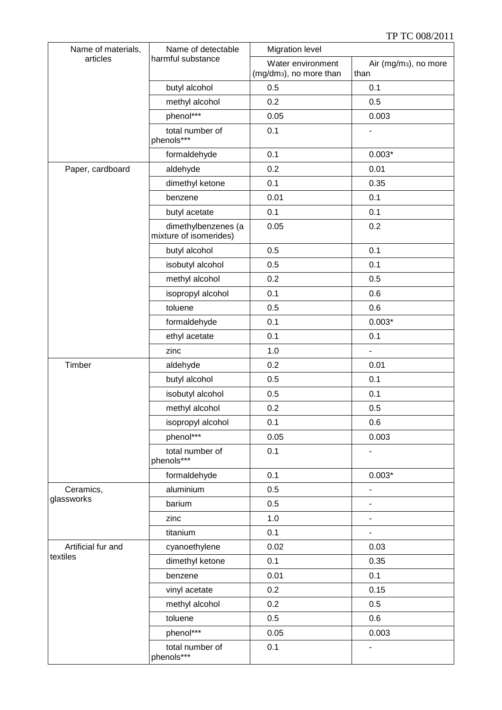| Name of materials, | Name of detectable                            | <b>Migration level</b>                                   |                                           |  |
|--------------------|-----------------------------------------------|----------------------------------------------------------|-------------------------------------------|--|
| articles           | harmful substance                             | Water environment<br>(mg/dm <sub>3</sub> ), no more than | Air (mg/m <sub>3</sub> ), no more<br>than |  |
|                    | butyl alcohol                                 | 0.5                                                      | 0.1                                       |  |
|                    | methyl alcohol                                | 0.2                                                      | 0.5                                       |  |
|                    | phenol***                                     | 0.05                                                     | 0.003                                     |  |
|                    | total number of<br>phenols***                 | 0.1                                                      |                                           |  |
|                    | formaldehyde                                  | 0.1                                                      | $0.003*$                                  |  |
| Paper, cardboard   | aldehyde                                      | 0.2                                                      | 0.01                                      |  |
|                    | dimethyl ketone                               | 0.1                                                      | 0.35                                      |  |
|                    | benzene                                       | 0.01                                                     | 0.1                                       |  |
|                    | butyl acetate                                 | 0.1                                                      | 0.1                                       |  |
|                    | dimethylbenzenes (a<br>mixture of isomerides) | 0.05                                                     | 0.2                                       |  |
|                    | butyl alcohol                                 | 0.5                                                      | 0.1                                       |  |
|                    | isobutyl alcohol                              | 0.5                                                      | 0.1                                       |  |
|                    | methyl alcohol                                | 0.2                                                      | 0.5                                       |  |
|                    | isopropyl alcohol                             | 0.1                                                      | 0.6                                       |  |
|                    | toluene                                       | 0.5                                                      | 0.6                                       |  |
|                    | formaldehyde                                  | 0.1                                                      | $0.003*$                                  |  |
|                    | ethyl acetate                                 | 0.1                                                      | 0.1                                       |  |
|                    | zinc                                          | 1.0                                                      |                                           |  |
| Timber             | aldehyde                                      | 0.2                                                      | 0.01                                      |  |
|                    | butyl alcohol                                 | 0.5                                                      | 0.1                                       |  |
|                    | isobutyl alcohol                              | 0.5                                                      | 0.1                                       |  |
|                    | methyl alcohol                                | 0.2                                                      | 0.5                                       |  |
|                    | isopropyl alcohol                             | 0.1                                                      | 0.6                                       |  |
|                    | phenol***                                     | 0.05                                                     | 0.003                                     |  |
|                    | total number of<br>phenols***                 | 0.1                                                      |                                           |  |
|                    | formaldehyde                                  | 0.1                                                      | $0.003*$                                  |  |
| Ceramics,          | aluminium                                     | 0.5                                                      |                                           |  |
| glassworks         | barium                                        | 0.5                                                      |                                           |  |
|                    | zinc                                          | 1.0                                                      | $\overline{\phantom{0}}$                  |  |
|                    | titanium                                      | 0.1                                                      | $\overline{\phantom{0}}$                  |  |
| Artificial fur and | cyanoethylene                                 | 0.02                                                     | 0.03                                      |  |
| textiles           | dimethyl ketone                               | 0.1                                                      | 0.35                                      |  |
|                    | benzene                                       | 0.01                                                     | 0.1                                       |  |
|                    | vinyl acetate                                 | 0.2                                                      | 0.15                                      |  |
|                    | methyl alcohol                                | 0.2                                                      | 0.5                                       |  |
|                    | toluene                                       | 0.5                                                      | 0.6                                       |  |
|                    | phenol***                                     | 0.05                                                     | 0.003                                     |  |
|                    | total number of                               | 0.1                                                      | $\overline{\phantom{a}}$                  |  |
|                    | phenols***                                    |                                                          |                                           |  |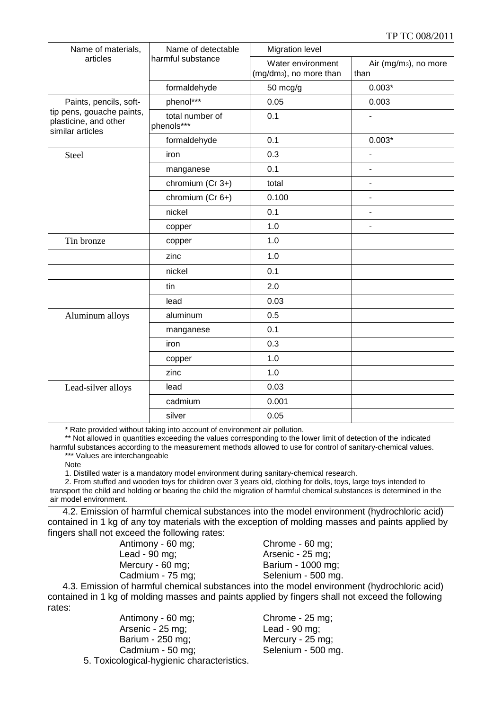| Name of materials,                                                     | Name of detectable<br>harmful substance | <b>Migration level</b>                                   |                                           |  |
|------------------------------------------------------------------------|-----------------------------------------|----------------------------------------------------------|-------------------------------------------|--|
| articles                                                               |                                         | Water environment<br>(mg/dm <sub>3</sub> ), no more than | Air (mg/m <sub>3</sub> ), no more<br>than |  |
|                                                                        | formaldehyde                            | $50 \text{ mcg/g}$                                       | $0.003*$                                  |  |
| Paints, pencils, soft-                                                 | phenol***                               | 0.05                                                     | 0.003                                     |  |
| tip pens, gouache paints,<br>plasticine, and other<br>similar articles | total number of<br>phenols***           | 0.1                                                      |                                           |  |
|                                                                        | formaldehyde                            | 0.1                                                      | $0.003*$                                  |  |
| Steel                                                                  | iron                                    | 0.3                                                      | $\overline{a}$                            |  |
|                                                                        | manganese                               | 0.1                                                      |                                           |  |
|                                                                        | chromium (Cr 3+)                        | total                                                    | ä,                                        |  |
|                                                                        | chromium (Cr 6+)                        | 0.100                                                    | $\blacksquare$                            |  |
|                                                                        | nickel                                  | 0.1                                                      | ÷,                                        |  |
|                                                                        | copper                                  | 1.0                                                      | $\overline{a}$                            |  |
| Tin bronze                                                             | copper                                  | 1.0                                                      |                                           |  |
|                                                                        | zinc                                    | 1.0                                                      |                                           |  |
|                                                                        | nickel                                  | 0.1                                                      |                                           |  |
|                                                                        | tin                                     | 2.0                                                      |                                           |  |
|                                                                        | lead                                    | 0.03                                                     |                                           |  |
| Aluminum alloys                                                        | aluminum                                | 0.5                                                      |                                           |  |
|                                                                        | manganese                               | 0.1                                                      |                                           |  |
|                                                                        | iron                                    | 0.3                                                      |                                           |  |
|                                                                        | copper                                  | 1.0                                                      |                                           |  |
|                                                                        | zinc                                    | 1.0                                                      |                                           |  |
| Lead-silver alloys                                                     | lead                                    | 0.03                                                     |                                           |  |
|                                                                        | cadmium                                 | 0.001                                                    |                                           |  |
|                                                                        | silver                                  | 0.05                                                     |                                           |  |

\* Rate provided without taking into account of environment air pollution.

\*\* Not allowed in quantities exceeding the values corresponding to the lower limit of detection of the indicated harmful substances according to the measurement methods allowed to use for control of sanitary-chemical values.

\*\*\* Values are interchangeable

Note

1. Distilled water is a mandatory model environment during sanitary-chemical research.

2. From stuffed and wooden toys for children over 3 years old, clothing for dolls, toys, large toys intended to transport the child and holding or bearing the child the migration of harmful chemical substances is determined in the air model environment.

4.2. Emission of harmful chemical substances into the model environment (hydrochloric acid) contained in 1 kg of any toy materials with the exception of molding masses and paints applied by fingers shall not exceed the following rates:

Antimony - 60 mg; Chrome - 60 mg; Lead - 90 mg; <br>
Arsenic - 25 mg; Mercury - 60 mg; Barium - 1000 mg;

Cadmium - 75 mg; Selenium - 500 mg.

4.3. Emission of harmful chemical substances into the model environment (hydrochloric acid) contained in 1 kg of molding masses and paints applied by fingers shall not exceed the following rates:

Antimony - 60 mg; Chrome - 25 mg; Arsenic - 25 mg; Lead - 90 mg; Barium - 250 mg; Mercury - 25 mg; Cadmium - 50 mg; Selenium - 500 mg. 5. Toxicological-hygienic characteristics.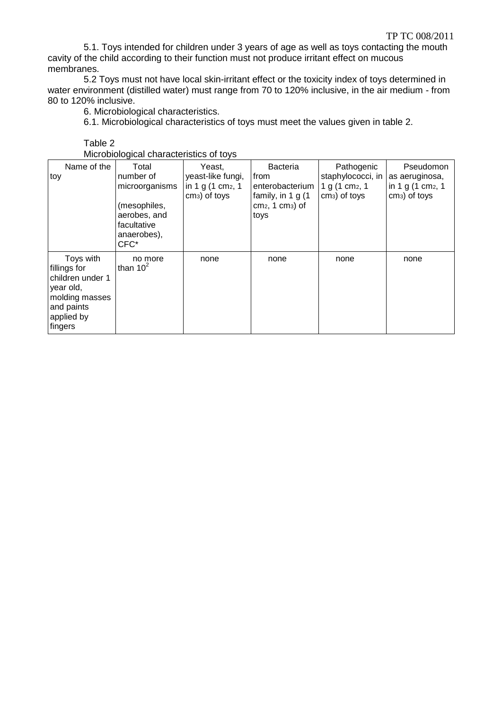5.1. Toys intended for children under 3 years of age as well as toys contacting the mouth cavity of the child according to their function must not produce irritant effect on mucous membranes.

5.2 Toys must not have local skin-irritant effect or the toxicity index of toys determined in water environment (distilled water) must range from 70 to 120% inclusive, in the air medium - from 80 to 120% inclusive.

6. Microbiological characteristics.

Table 2

6.1. Microbiological characteristics of toys must meet the values given in table 2.

| <u>MICRODIOQICAL CHARACTERISTICS OF LOVS</u>                                                                        |                                                                                                            |                                                                                |                                                                                                   |                                                                          |                                                                                |
|---------------------------------------------------------------------------------------------------------------------|------------------------------------------------------------------------------------------------------------|--------------------------------------------------------------------------------|---------------------------------------------------------------------------------------------------|--------------------------------------------------------------------------|--------------------------------------------------------------------------------|
| Name of the<br>toy                                                                                                  | Total<br>number of<br>microorganisms<br>(mesophiles,<br>aerobes, and<br>facultative<br>anaerobes),<br>CFC* | Yeast,<br>yeast-like fungi,<br>in 1 g $(1 \text{ cm}_2, 1)$<br>$cm3$ ) of toys | <b>Bacteria</b><br>from<br>enterobacterium<br>family, in 1 $g(1)$<br>$cm2$ , 1 $cm3$ ) of<br>toys | Pathogenic<br>staphylococci, in<br>1 g (1 cm $_2$ , 1<br>$cm3$ ) of toys | Pseudomon<br>as aeruginosa,<br>in 1 g $(1 \text{ cm}_2, 1)$<br>$cm3$ ) of toys |
| Toys with<br>fillings for<br>children under 1<br>year old,<br>molding masses<br>and paints<br>applied by<br>fingers | no more<br>than $10^2$                                                                                     | none                                                                           | none                                                                                              | none                                                                     | none                                                                           |

Microbiological characteristics of toys